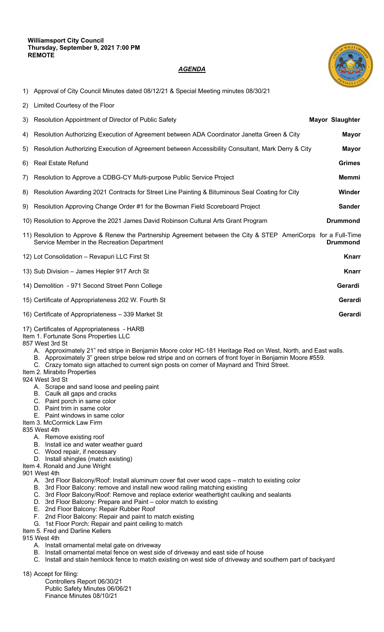## *AGENDA*



- 1) Approval of City Council Minutes dated 08/12/21 & Special Meeting minutes 08/30/21
- 2) Limited Courtesy of the Floor
- 3) Resolution Appointment of Director of Public Safety **Mayor Slaughter**  4) Resolution Authorizing Execution of Agreement between ADA Coordinator Janetta Green & City **Mayor** 5) Resolution Authorizing Execution of Agreement between Accessibility Consultant, Mark Derry & City **Mayor** 6) Real Estate Refund **Grimes** 7) Resolution to Approve a CDBG-CY Multi-purpose Public Service Project **Memmi** 8) Resolution Awarding 2021 Contracts for Street Line Painting & Bituminous Seal Coating for City **Winder** 9) Resolution Approving Change Order #1 for the Bowman Field Scoreboard Project **Sander** 10) Resolution to Approve the 2021 James David Robinson Cultural Arts Grant Program **Drummond** 11) Resolution to Approve & Renew the Partnership Agreement between the City & STEP AmeriCorps for a Full-Time Service Member in the Recreation Department **Drummond** 12) Lot Consolidation – Revapuri LLC First St **Knarr** 13) Sub Division – James Hepler 917 Arch St **Knarr** 14) Demolition - 971 Second Street Penn College **Gerardi** 15) Certificate of Appropriateness 202 W. Fourth St **Gerardi** 16) Certificate of Appropriateness – 339 Market St **Gerardi**

## 17) Certificates of Appropriateness - HARB

Item 1. Fortunate Sons Properties LLC

## 857 West 3rd St

- A. Approximately 21" red stripe in Benjamin Moore color HC-181 Heritage Red on West, North, and East walls.
- B. Approximately 3" green stripe below red stripe and on corners of front foyer in Benjamin Moore #559.
- C. Crazy tomato sign attached to current sign posts on corner of Maynard and Third Street.

Item 2. Mirabito Properties

924 West 3rd St

- A. Scrape and sand loose and peeling paint
- B. Caulk all gaps and cracks
- C. Paint porch in same color
- D. Paint trim in same color
- E. Paint windows in same color
- Item 3. McCormick Law Firm

835 West 4th

- A. Remove existing roof
- B. Install ice and water weather guard
- C. Wood repair, if necessary
- D. Install shingles (match existing)

Item 4. Ronald and June Wright 901 West 4th

- A. 3rd Floor Balcony/Roof: Install aluminum cover flat over wood caps match to existing color
- B. 3rd Floor Balcony: remove and install new wood railing matching existing
- C. 3rd Floor Balcony/Roof: Remove and replace exterior weathertight caulking and sealants
- D. 3rd Floor Balcony: Prepare and Paint color match to existing
- E. 2nd Floor Balcony: Repair Rubber Roof
- F. 2nd Floor Balcony: Repair and paint to match existing
- G. 1st Floor Porch: Repair and paint ceiling to match

Item 5. Fred and Darline Kellers

915 West 4th

- A. Install ornamental metal gate on driveway
- B. Install ornamental metal fence on west side of driveway and east side of house
- C. Install and stain hemlock fence to match existing on west side of driveway and southern part of backyard

18) Accept for filing:

Controllers Report 06/30/21 Public Safety Minutes 06/06/21 Finance Minutes 08/10/21